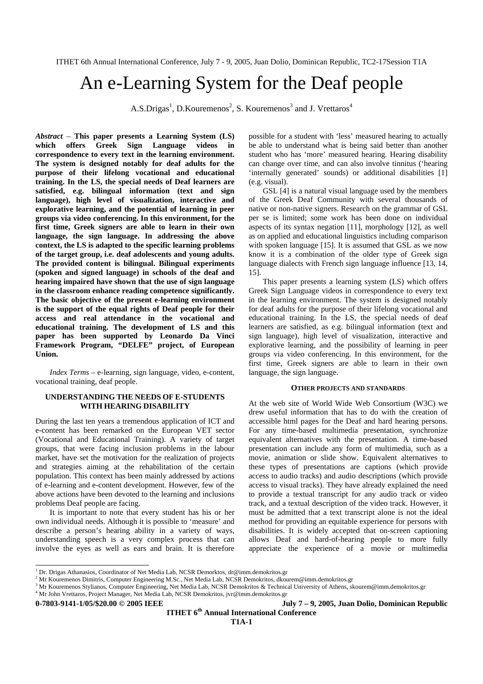# An e-Learning System for the Deaf people

A.S.Drigas<sup>1</sup>, D.Kouremenos<sup>2</sup>, S. Kouremenos<sup>3</sup> and J. Vrettaros<sup>4</sup>

*Abstract* – **This paper presents a Learning System (LS) which offers Greek Sign Language videos in correspondence to every text in the learning environment. The system is designed notably for deaf adults for the purpose of their lifelong vocational and educational training. In the LS, the special needs of Deaf learners are satisfied, e.g. bilingual information (text and sign language), high level of visualization, interactive and explorative learning, and the potential of learning in peer groups via video conferencing. In this environment, for the first time, Greek signers are able to learn in their own language, the sign language. In addressing the above context, the LS is adapted to the specific learning problems of the target group, i.e. deaf adolescents and young adults. The provided content is bilingual. Bilingual experiments (spoken and signed language) in schools of the deaf and hearing impaired have shown that the use of sign language in the classroom enhance reading competence significantly. The basic objective of the present e-learning environment is the support of the equal rights of Deaf people for their access and real attendance in the vocational and educational training. The development of LS and this paper has been supported by Leonardo Da Vinci Framework Program, "DELFE" project, of European Union.** 

*Index Terms* – e-learning, sign language, video, e-content, vocational training, deaf people.

# **UNDERSTANDING THE NEEDS OF E-STUDENTS WITH HEARING DISABILITY**

During the last ten years a tremendous application of ICT and e-content has been remarked on the European VET sector (Vocational and Educational Training). A variety of target groups, that were facing inclusion problems in the labour market, have set the motivation for the realization of projects and strategies aiming at the rehabilitation of the certain population. This context has been mainly addressed by actions of e-learning and e-content development. However, few of the above actions have been devoted to the learning and inclusions problems Deaf people are facing.

It is important to note that every student has his or her own individual needs. Although it is possible to 'measure' and describe a person's hearing ability in a variety of ways, understanding speech is a very complex process that can involve the eyes as well as ears and brain. It is therefore

possible for a student with 'less' measured hearing to actually be able to understand what is being said better than another student who has 'more' measured hearing. Hearing disability can change over time, and can also involve tinnitus ('hearing 'internally generated' sounds) or additional disabilities [1] (e.g. visual).

GSL [4] is a natural visual language used by the members of the Greek Deaf Community with several thousands of native or non-native signers. Research on the grammar of GSL per se is limited; some work has been done on individual aspects of its syntax negation [11], morphology [12], as well as on applied and educational linguistics including comparison with spoken language [15]. It is assumed that GSL as we now know it is a combination of the older type of Greek sign language dialects with French sign language influence [13, 14, 15].

This paper presents a learning system (LS) which offers Greek Sign Language videos in correspondence to every text in the learning environment. The system is designed notably for deaf adults for the purpose of their lifelong vocational and educational training. In the LS, the special needs of deaf learners are satisfied, as e.g. bilingual information (text and sign language), high level of visualization, interactive and explorative learning, and the possibility of learning in peer groups via video conferencing. In this environment, for the first time, Greek signers are able to learn in their own language, the sign language.

#### **OTHER PROJECTS AND STANDARDS**

At the web site of World Wide Web Consortium (W3C) we drew useful information that has to do with the creation of accessible html pages for the Deaf and hard hearing persons. For any time-based multimedia presentation, synchronize equivalent alternatives with the presentation. A time-based presentation can include any form of multimedia, such as a movie, animation or slide show. Equivalent alternatives to these types of presentations are captions (which provide access to audio tracks) and audio descriptions (which provide access to visual tracks). They have already explained the need to provide a textual transcript for any audio track or video track, and a textual description of the video track. However, it must be admitted that a text transcript alone is not the ideal method for providing an equitable experience for persons with disabilities. It is widely accepted that on-screen captioning allows Deaf and hard-of-hearing people to more fully appreciate the experience of a movie or multimedia

l

**T1A-1**

<sup>&</sup>lt;sup>1</sup> Dr. Drigas Athanasios, Coordinator of Net Media Lab, NCSR Demorktos, dr@imm.demokritos.gr

<sup>&</sup>lt;sup>2</sup> Mr Kouremenos Dimitris, Computer Engineering M.Sc., Net Media Lab, NCSR Demokritos, dkourem@imm.demokritos.gr

<sup>&</sup>lt;sup>3</sup> Mr Kouremenos Stylianos, Computer Engineering, Net Media Lab, NCSR Demokritos & Technical University of Athens, skourem@imm.demokritos.gr  $^{4}$  Mr John Ventrees, Project Manager, Net Media Lab, NCSP Demokritos.jr @imm

Mr John Vrettaros, Project Manager, Net Media Lab, NCSR Demokritos, jvr@imm.demokritos.gr

<sup>0-7803-9141-1/05/\$20.00 © 2005</sup> IEEE July 7 – 9, 2005, Juan Dolio, Dominican Republic **ITHET 6<sup>th</sup> Annual International Conference**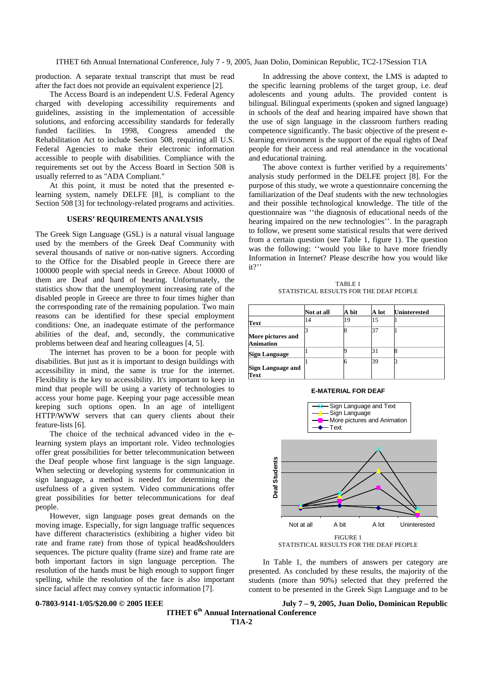production. A separate textual transcript that must be read after the fact does not provide an equivalent experience [2].

The Access Board is an independent U.S. Federal Agency charged with developing accessibility requirements and guidelines, assisting in the implementation of accessible solutions, and enforcing accessibility standards for federally funded facilities. In 1998, Congress amended the Rehabilitation Act to include Section 508, requiring all U.S. Federal Agencies to make their electronic information accessible to people with disabilities. Compliance with the requirements set out by the Access Board in Section 508 is usually referred to as "ADA Compliant."

At this point, it must be noted that the presented elearning system, namely DELFE [8], is compliant to the Section 508 [3] for technology-related programs and activities.

## **USERS' REQUIREMENTS ANALYSIS**

The Greek Sign Language (GSL) is a natural visual language used by the members of the Greek Deaf Community with several thousands of native or non-native signers. According to the Office for the Disabled people in Greece there are 100000 people with special needs in Greece. About 10000 of them are Deaf and hard of hearing. Unfortunately, the statistics show that the unemployment increasing rate of the disabled people in Greece are three to four times higher than the corresponding rate of the remaining population. Two main reasons can be identified for these special employment conditions: One, an inadequate estimate of the performance abilities of the deaf, and, secondly, the communicative problems between deaf and hearing colleagues [4, 5].

The internet has proven to be a boon for people with disabilities. But just as it is important to design buildings with accessibility in mind, the same is true for the internet. Flexibility is the key to accessibility. It's important to keep in mind that people will be using a variety of technologies to access your home page. Keeping your page accessible mean keeping such options open. In an age of intelligent HTTP/WWW servers that can query clients about their feature-lists [6].

The choice of the technical advanced video in the elearning system plays an important role. Video technologies offer great possibilities for better telecommunication between the Deaf people whose first language is the sign language. When selecting or developing systems for communication in sign language, a method is needed for determining the usefulness of a given system. Video communications offer great possibilities for better telecommunications for deaf people.

However, sign language poses great demands on the moving image. Especially, for sign language traffic sequences have different characteristics (exhibiting a higher video bit rate and frame rate) from those of typical head&shoulders sequences. The picture quality (frame size) and frame rate are both important factors in sign language perception. The resolution of the hands must be high enough to support finger spelling, while the resolution of the face is also important since facial affect may convey syntactic information [7].

In addressing the above context, the LMS is adapted to the specific learning problems of the target group, i.e. deaf adolescents and young adults. The provided content is bilingual. Bilingual experiments (spoken and signed language) in schools of the deaf and hearing impaired have shown that the use of sign language in the classroom furthers reading competence significantly. The basic objective of the present elearning environment is the support of the equal rights of Deaf people for their access and real attendance in the vocational and educational training.

The above context is further verified by a requirements' analysis study performed in the DELFE project [8]. For the purpose of this study, we wrote a questionnaire concerning the familiarization of the Deaf students with the new technologies and their possible technological knowledge. The title of the questionnaire was ''the diagnosis of educational needs of the hearing impaired on the new technologies''. In the paragraph to follow, we present some statistical results that were derived from a certain question (see Table 1, figure 1). The question was the following: ''would you like to have more friendly Information in Internet? Please describe how you would like it?''

TABLE 1 STATISTICAL RESULTS FOR THE DEAF PEOPLE

|                                       | Not at all     | A bit | A lot | <b>Uninterested</b> |
|---------------------------------------|----------------|-------|-------|---------------------|
| Text                                  | $\overline{4}$ | 19    | 15    |                     |
| More pictures and<br><b>Animation</b> |                |       | 37    |                     |
| <b>Sign Language</b>                  |                |       |       |                     |
| <b>Sign Language and</b><br>Text      |                |       | 39    |                     |

#### **E-MATERIAL FOR DEAF**



STATISTICAL RESULTS FOR THE DEAF PEOPLE

In Table 1, the numbers of answers per category are presented. As concluded by these results, the majority of the students (more than 90%) selected that they preferred the content to be presented in the Greek Sign Language and to be

0-7803-9141-1/05/\$20.00 © 2005 IEEE July 7 – 9, 2005, Juan Dolio, Dominican Republic **ITHET 6<sup>th</sup> Annual International Conference**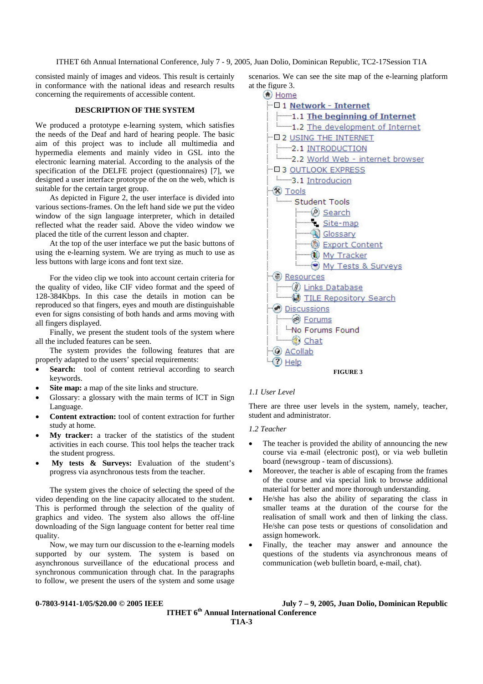consisted mainly of images and videos. This result is certainly in conformance with the national ideas and research results concerning the requirements of accessible content.

## **DESCRIPTION OF THE SYSTEM**

We produced a prototype e-learning system, which satisfies the needs of the Deaf and hard of hearing people. The basic aim of this project was to include all multimedia and hypermedia elements and mainly video in GSL into the electronic learning material. According to the analysis of the specification of the DELFE project (questionnaires) [7], we designed a user interface prototype of the on the web, which is suitable for the certain target group.

As depicted in Figure 2, the user interface is divided into various sections-frames. On the left hand side we put the video window of the sign language interpreter, which in detailed reflected what the reader said. Above the video window we placed the title of the current lesson and chapter.

At the top of the user interface we put the basic buttons of using the e-learning system. We are trying as much to use as less buttons with large icons and font text size.

For the video clip we took into account certain criteria for the quality of video, like CIF video format and the speed of 128-384Kbps. In this case the details in motion can be reproduced so that fingers, eyes and mouth are distinguishable even for signs consisting of both hands and arms moving with all fingers displayed.

Finally, we present the student tools of the system where all the included features can be seen.

The system provides the following features that are properly adapted to the users' special requirements:

- **Search:** tool of content retrieval according to search keywords.
- **Site map:** a map of the site links and structure.
- Glossary: a glossary with the main terms of ICT in Sign Language.
- **Content extraction:** tool of content extraction for further study at home.
- My tracker: a tracker of the statistics of the student activities in each course. This tool helps the teacher track the student progress.
- **My tests & Surveys:** Evaluation of the student's progress via asynchronous tests from the teacher.

The system gives the choice of selecting the speed of the video depending on the line capacity allocated to the student. This is performed through the selection of the quality of graphics and video. The system also allows the off-line downloading of the Sign language content for better real time quality.

Now, we may turn our discussion to the e-learning models supported by our system. The system is based on asynchronous surveillance of the educational process and synchronous communication through chat. In the paragraphs to follow, we present the users of the system and some usage

0-7803-9141-1/05/\$20.00 © 2005 IEEE July 7 – 9, 2005, Juan Dolio, Dominican Republic **ITHET 6<sup>th</sup> Annual International Conference** 

**T1A-3**





#### *1.1 User Level*

There are three user levels in the system, namely, teacher, student and administrator.

#### *1.2 Teacher*

- The teacher is provided the ability of announcing the new course via e-mail (electronic post), or via web bulletin board (newsgroup - team of discussions).
- Moreover, the teacher is able of escaping from the frames of the course and via special link to browse additional material for better and more thorough understanding.
- He/she has also the ability of separating the class in smaller teams at the duration of the course for the realisation of small work and then of linking the class. He/she can pose tests or questions of consolidation and assign homework.
- Finally, the teacher may answer and announce the questions of the students via asynchronous means of communication (web bulletin board, e-mail, chat).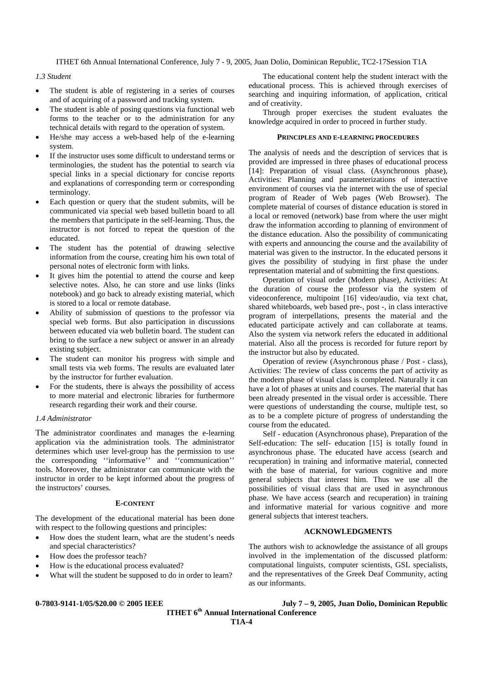## *1.3 Student*

- The student is able of registering in a series of courses and of acquiring of a password and tracking system.
- The student is able of posing questions via functional web forms to the teacher or to the administration for any technical details with regard to the operation of system.
- He/she may access a web-based help of the e-learning system.
- If the instructor uses some difficult to understand terms or terminologies, the student has the potential to search via special links in a special dictionary for concise reports and explanations of corresponding term or corresponding terminology.
- Each question or query that the student submits, will be communicated via special web based bulletin board to all the members that participate in the self-learning. Thus, the instructor is not forced to repeat the question of the educated.
- The student has the potential of drawing selective information from the course, creating him his own total of personal notes of electronic form with links.
- It gives him the potential to attend the course and keep selective notes. Also, he can store and use links (links notebook) and go back to already existing material, which is stored to a local or remote database.
- Ability of submission of questions to the professor via special web forms. But also participation in discussions between educated via web bulletin board. The student can bring to the surface a new subject or answer in an already existing subject.
- The student can monitor his progress with simple and small tests via web forms. The results are evaluated later by the instructor for further evaluation.
- For the students, there is always the possibility of access to more material and electronic libraries for furthermore research regarding their work and their course.

# *1.4 Administrator*

The administrator coordinates and manages the e-learning application via the administration tools. The administrator determines which user level-group has the permission to use the corresponding ''informative'' and ''communication'' tools. Moreover, the administrator can communicate with the instructor in order to be kept informed about the progress of the instructors' courses.

#### **E-CONTENT**

The development of the educational material has been done with respect to the following questions and principles:

- How does the student learn, what are the student's needs and special characteristics?
- How does the professor teach?
- How is the educational process evaluated?
- What will the student be supposed to do in order to learn?

The educational content help the student interact with the educational process. This is achieved through exercises of searching and inquiring information, of application, critical and of creativity.

Through proper exercises the student evaluates the knowledge acquired in order to proceed in further study.

#### **PRINCIPLES AND E-LEARNING PROCEDURES**

The analysis of needs and the description of services that is provided are impressed in three phases of educational process [14]: Preparation of visual class. (Asynchronous phase), Activities: Planning and parameterizations of interactive environment of courses via the internet with the use of special program of Reader of Web pages (Web Browser). The complete material of courses of distance education is stored in a local or removed (network) base from where the user might draw the information according to planning of environment of the distance education. Also the possibility of communicating with experts and announcing the course and the availability of material was given to the instructor. In the educated persons it gives the possibility of studying in first phase the under representation material and of submitting the first questions.

Operation of visual order (Modern phase), Activities: At the duration of course the professor via the system of videoconference, multipoint [16] video/audio, via text chat, shared whiteboards, web based pre-, post -, in class interactive program of interpellations, presents the material and the educated participate actively and can collaborate at teams. Also the system via network refers the educated in additional material. Also all the process is recorded for future report by the instructor but also by educated.

Operation of review (Asynchronous phase / Post - class), Activities: The review of class concerns the part of activity as the modern phase of visual class is completed. Naturally it can have a lot of phases at units and courses. The material that has been already presented in the visual order is accessible. There were questions of understanding the course, multiple test, so as to be a complete picture of progress of understanding the course from the educated.

Self - education (Asynchronous phase), Preparation of the Self-education: The self- education [15] is totally found in asynchronous phase. The educated have access (search and recuperation) in training and informative material, connected with the base of material, for various cognitive and more general subjects that interest him. Thus we use all the possibilities of visual class that are used in asynchronous phase. We have access (search and recuperation) in training and informative material for various cognitive and more general subjects that interest teachers.

## **ACKNOWLEDGMENTS**

The authors wish to acknowledge the assistance of all groups involved in the implementation of the discussed platform: computational linguists, computer scientists, GSL specialists, and the representatives of the Greek Deaf Community, acting as our informants.

0-7803-9141-1/05/\$20.00 © 2005 IEEE July 7 – 9, 2005, Juan Dolio, Dominican Republic **ITHET 6<sup>th</sup> Annual International Conference** 

**T1A-4**